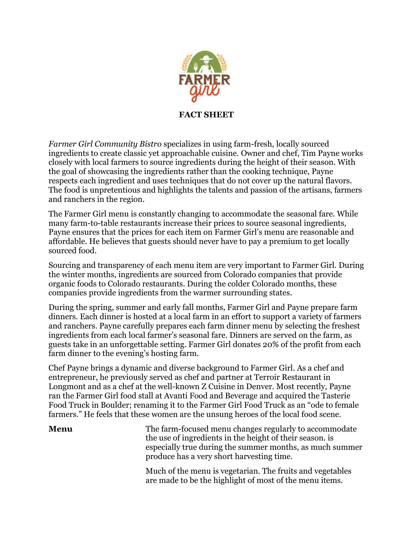

**FACT SHEET**

*Farmer Girl Community Bistro* specializes in using farm-fresh, locally sourced ingredients to create classic yet approachable cuisine. Owner and chef, Tim Payne works closely with local farmers to source ingredients during the height of their season. With the goal of showcasing the ingredients rather than the cooking technique, Payne respects each ingredient and uses techniques that do not cover up the natural flavors. The food is unpretentious and highlights the talents and passion of the artisans, farmers and ranchers in the region.

The Farmer Girl menu is constantly changing to accommodate the seasonal fare. While many farm-to-table restaurants increase their prices to source seasonal ingredients, Payne ensures that the prices for each item on Farmer Girl's menu are reasonable and affordable. He believes that guests should never have to pay a premium to get locally sourced food.

Sourcing and transparency of each menu item are very important to Farmer Girl. During the winter months, ingredients are sourced from Colorado companies that provide organic foods to Colorado restaurants. During the colder Colorado months, these companies provide ingredients from the warmer surrounding states.

During the spring, summer and early fall months, Farmer Girl and Payne prepare farm dinners. Each dinner is hosted at a local farm in an effort to support a variety of farmers and ranchers. Payne carefully prepares each farm dinner menu by selecting the freshest ingredients from each local farmer's seasonal fare. Dinners are served on the farm, as guests take in an unforgettable setting. Farmer Girl donates 20% of the profit from each farm dinner to the evening's hosting farm.

Chef Payne brings a dynamic and diverse background to Farmer Girl. As a chef and entrepreneur, he previously served as chef and partner at Terroir Restaurant in Longmont and as a chef at the well-known Z Cuisine in Denver. Most recently, Payne ran the Farmer Girl food stall at Avanti Food and Beverage and acquired the Tasterie Food Truck in Boulder; renaming it to the Farmer Girl Food Truck as an "ode to female farmers." He feels that these women are the unsung heroes of the local food scene.

**Menu** The farm-focused menu changes regularly to accommodate the use of ingredients in the height of their season. is especially true during the summer months, as much summer produce has a very short harvesting time.

> Much of the menu is vegetarian. The fruits and vegetables are made to be the highlight of most of the menu items.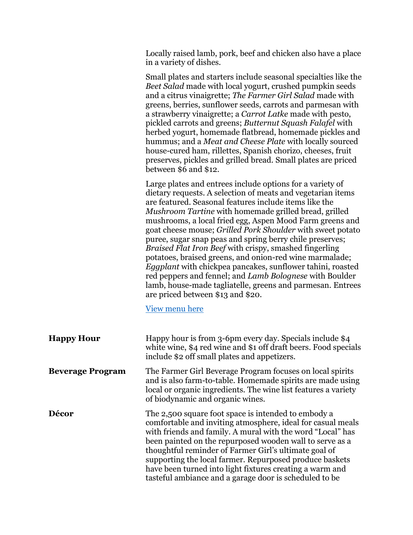| Locally raised lamb, pork, beef and chicken also have a place |
|---------------------------------------------------------------|
| in a variety of dishes.                                       |

Small plates and starters include seasonal specialties like the *Beet Salad* made with local yogurt, crushed pumpkin seeds and a citrus vinaigrette; *The Farmer Girl Salad* made with greens, berries, sunflower seeds, carrots and parmesan with a strawberry vinaigrette; a *Carrot Latke* made with pesto, pickled carrots and greens; *Butternut Squash Falafel* with herbed yogurt, homemade flatbread, homemade pickles and hummus; and a *Meat and Cheese Plate* with locally sourced house-cured ham, rillettes, Spanish chorizo, cheeses, fruit preserves, pickles and grilled bread. Small plates are priced between \$6 and \$12.

Large plates and entrees include options for a variety of dietary requests. A selection of meats and vegetarian items are featured. Seasonal features include items like the *Mushroom Tartine* with homemade grilled bread, grilled mushrooms, a local fried egg, Aspen Mood Farm greens and goat cheese mouse; *Grilled Pork Shoulder* with sweet potato puree, sugar snap peas and spring berry chile preserves; *Braised Flat Iron Beef* with crispy, smashed fingerling potatoes, braised greens, and onion-red wine marmalade; *Eggplant* with chickpea pancakes, sunflower tahini, roasted red peppers and fennel; and *Lamb Bolognese* with Boulder lamb, house-made tagliatelle, greens and parmesan. Entrees are priced between \$13 and \$20.

## [View menu here](http://coloradofarmergirl.com/farmer-girl-bistro/)

| <b>Happy Hour</b>       | Happy hour is from 3-6pm every day. Specials include \$4<br>white wine, \$4 red wine and \$1 off draft beers. Food specials<br>include \$2 off small plates and appetizers.                                                                                                                                                                                                                                                                                                            |
|-------------------------|----------------------------------------------------------------------------------------------------------------------------------------------------------------------------------------------------------------------------------------------------------------------------------------------------------------------------------------------------------------------------------------------------------------------------------------------------------------------------------------|
| <b>Beverage Program</b> | The Farmer Girl Beverage Program focuses on local spirits<br>and is also farm-to-table. Homemade spirits are made using<br>local or organic ingredients. The wine list features a variety<br>of biodynamic and organic wines.                                                                                                                                                                                                                                                          |
| Décor                   | The 2,500 square foot space is intended to embody a<br>comfortable and inviting atmosphere, ideal for casual meals<br>with friends and family. A mural with the word "Local" has<br>been painted on the repurposed wooden wall to serve as a<br>thoughtful reminder of Farmer Girl's ultimate goal of<br>supporting the local farmer. Repurposed produce baskets<br>have been turned into light fixtures creating a warm and<br>tasteful ambiance and a garage door is scheduled to be |